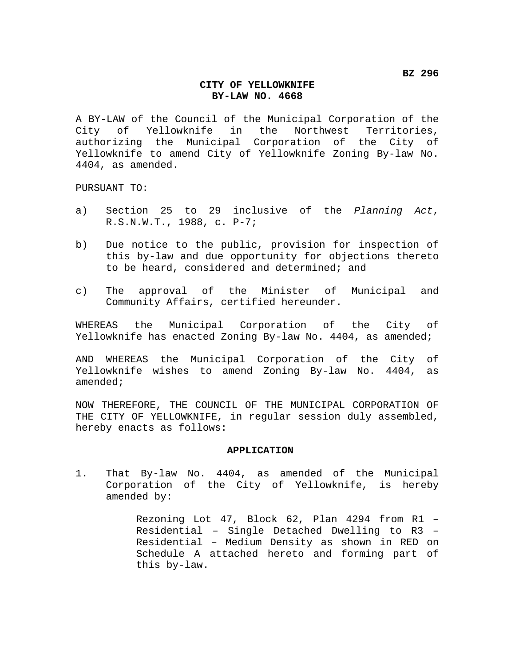## **CITY OF YELLOWKNIFE BY-LAW NO. 4668**

A BY-LAW of the Council of the Municipal Corporation of the City of Yellowknife in the Northwest Territories, authorizing the Municipal Corporation of the City of Yellowknife to amend City of Yellowknife Zoning By-law No. 4404, as amended.

PURSUANT TO:

- a) Section 25 to 29 inclusive of the *Planning Act*, R.S.N.W.T., 1988, c. P-7;
- b) Due notice to the public, provision for inspection of this by-law and due opportunity for objections thereto to be heard, considered and determined; and
- c) The approval of the Minister of Municipal and Community Affairs, certified hereunder.

WHEREAS the Municipal Corporation of the City of Yellowknife has enacted Zoning By-law No. 4404, as amended;

AND WHEREAS the Municipal Corporation of the City of Yellowknife wishes to amend Zoning By-law No. 4404, as amended;

NOW THEREFORE, THE COUNCIL OF THE MUNICIPAL CORPORATION OF THE CITY OF YELLOWKNIFE, in regular session duly assembled, hereby enacts as follows:

## **APPLICATION**

1. That By-law No. 4404, as amended of the Municipal Corporation of the City of Yellowknife, is hereby amended by:

> Rezoning Lot 47, Block 62, Plan 4294 from R1 – Residential – Single Detached Dwelling to R3 – Residential – Medium Density as shown in RED on Schedule A attached hereto and forming part of this by-law.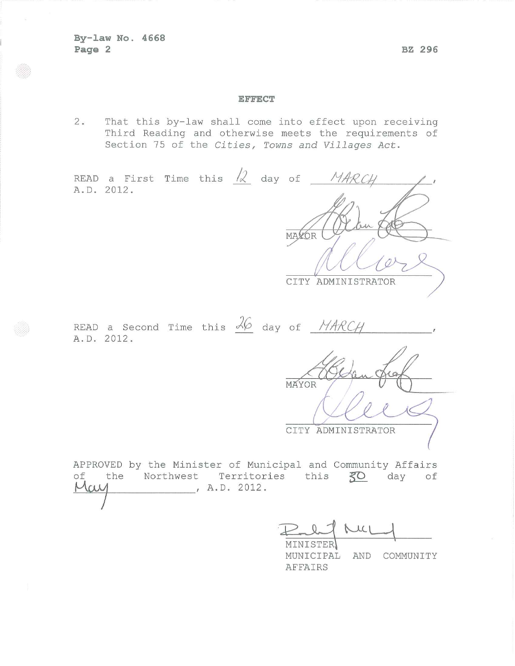By-law No. 4668 Page 2

BZ 296

## EFFECT

 $2.$ That this by-law shall come into effect upon receiving Third Reading and otherwise meets the requirements of Section 75 of the Cities, Towns and Villages Act.

READ a First Time this  $/2$  day of  $MARC$ A.D. 2012. MAYOR CITY ADMINISTRATOR READ a Second Time this  $\frac{26}{10}$  day of  $MARCH$ A.D. 2012. MAYOR CITY ADMINISTRATOR APPROVED by the Minister of Municipal and Community Affairs of the Northwest Territories this 30 day of , A.D. 2012. May

 $LC1$ MINISTER! MUNICIPAL AND COMMUNITY AFFAIRS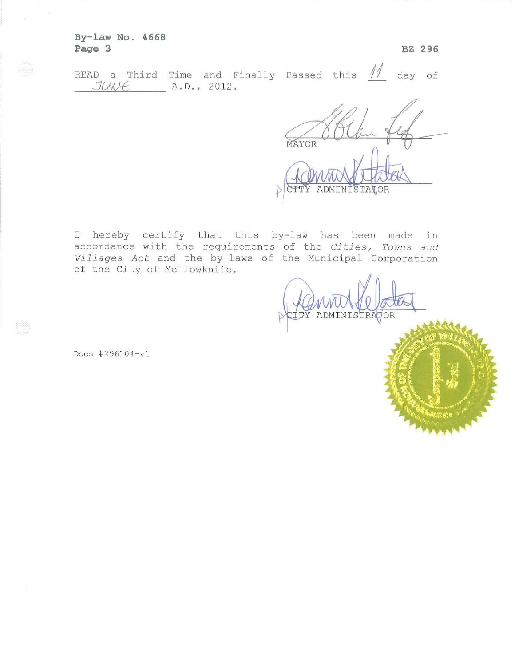By-law No. 4668 Page 3

READ a Third Time and Finally Passed this  $\frac{1}{\sqrt{2}}$ day of  $JUNE$   $A.D., 2012.$ 

MAYOR ADMIN TOR ISTA

I hereby certify that this by-law has been made in accordance with the requirements of the Cities, Towns and Villages Act and the by-laws of the Municipal Corporation of the City of Yellowknife.

ADMINISTRATOR

Docs #296104-v1

Ź.